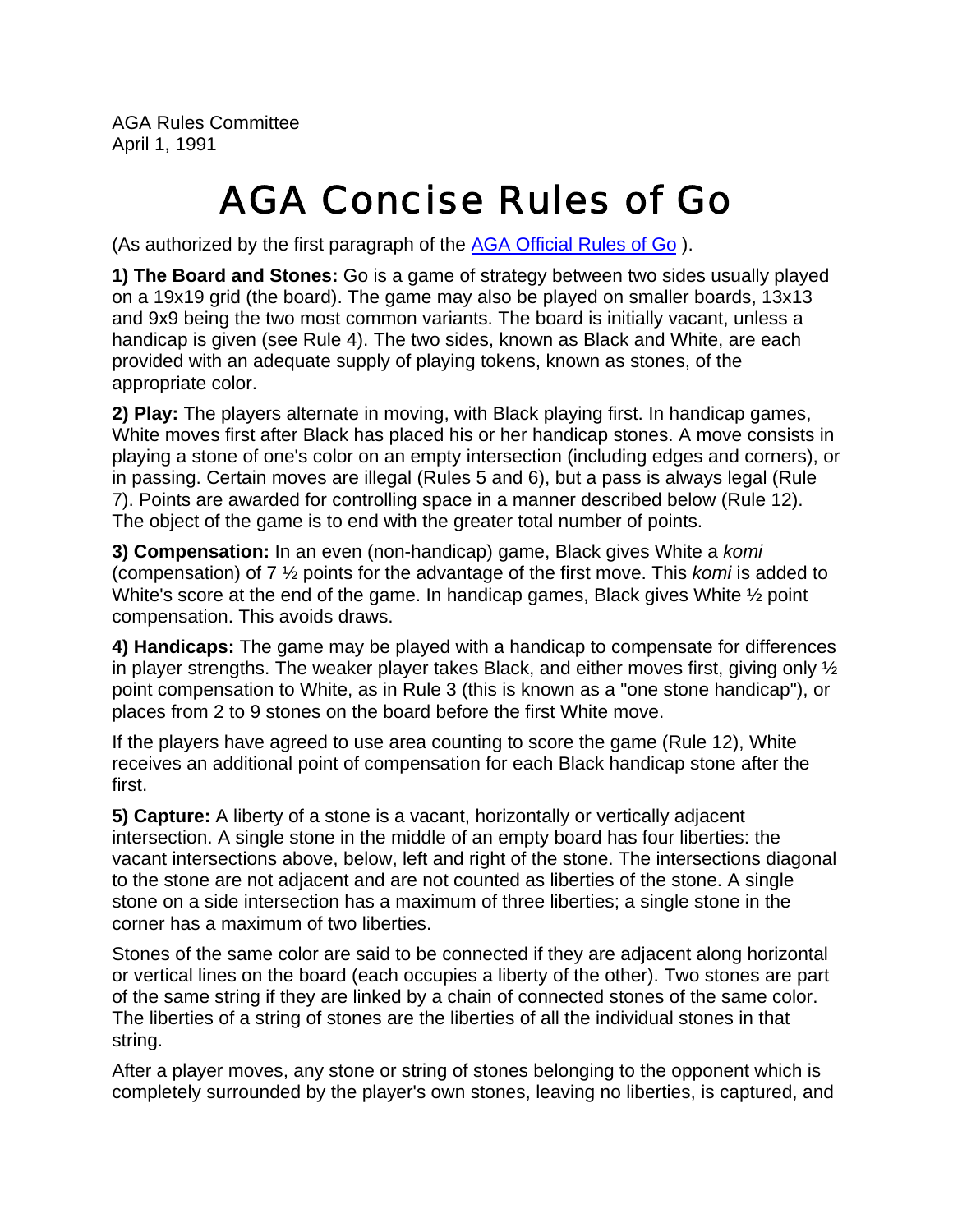AGA Rules Committee April 1, 1991

## AGA Concise Rules of Go

(As authorized by the first paragraph of the AGA Official Rules of Go ).

**1) The Board and Stones:** Go is a game of strategy between two sides usually played on a 19x19 grid (the board). The game may also be played on smaller boards, 13x13 and 9x9 being the two most common variants. The board is initially vacant, unless a handicap is given (see Rule 4). The two sides, known as Black and White, are each provided with an adequate supply of playing tokens, known as stones, of the appropriate color.

**2) Play:** The players alternate in moving, with Black playing first. In handicap games, White moves first after Black has placed his or her handicap stones. A move consists in playing a stone of one's color on an empty intersection (including edges and corners), or in passing. Certain moves are illegal (Rules 5 and 6), but a pass is always legal (Rule 7). Points are awarded for controlling space in a manner described below (Rule 12). The object of the game is to end with the greater total number of points.

**3) Compensation:** In an even (non-handicap) game, Black gives White a *komi* (compensation) of 7 ½ points for the advantage of the first move. This *komi* is added to White's score at the end of the game. In handicap games, Black gives White  $\frac{1}{2}$  point compensation. This avoids draws.

**4) Handicaps:** The game may be played with a handicap to compensate for differences in player strengths. The weaker player takes Black, and either moves first, giving only  $\frac{1}{2}$ point compensation to White, as in Rule 3 (this is known as a "one stone handicap"), or places from 2 to 9 stones on the board before the first White move.

If the players have agreed to use area counting to score the game (Rule 12), White receives an additional point of compensation for each Black handicap stone after the first.

**5) Capture:** A liberty of a stone is a vacant, horizontally or vertically adjacent intersection. A single stone in the middle of an empty board has four liberties: the vacant intersections above, below, left and right of the stone. The intersections diagonal to the stone are not adjacent and are not counted as liberties of the stone. A single stone on a side intersection has a maximum of three liberties; a single stone in the corner has a maximum of two liberties.

Stones of the same color are said to be connected if they are adjacent along horizontal or vertical lines on the board (each occupies a liberty of the other). Two stones are part of the same string if they are linked by a chain of connected stones of the same color. The liberties of a string of stones are the liberties of all the individual stones in that string.

After a player moves, any stone or string of stones belonging to the opponent which is completely surrounded by the player's own stones, leaving no liberties, is captured, and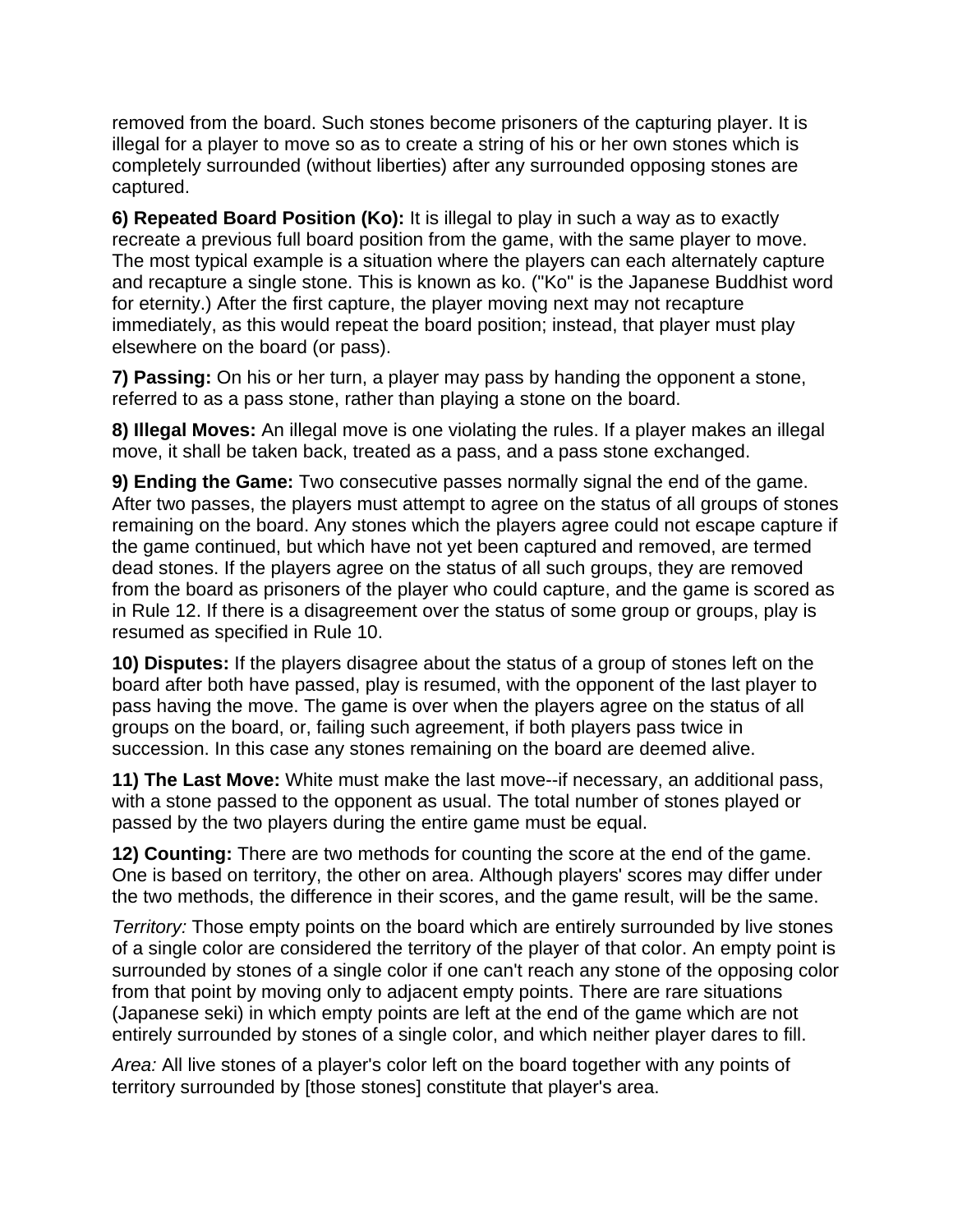removed from the board. Such stones become prisoners of the capturing player. It is illegal for a player to move so as to create a string of his or her own stones which is completely surrounded (without liberties) after any surrounded opposing stones are captured.

**6) Repeated Board Position (Ko):** It is illegal to play in such a way as to exactly recreate a previous full board position from the game, with the same player to move. The most typical example is a situation where the players can each alternately capture and recapture a single stone. This is known as ko. ("Ko" is the Japanese Buddhist word for eternity.) After the first capture, the player moving next may not recapture immediately, as this would repeat the board position; instead, that player must play elsewhere on the board (or pass).

**7) Passing:** On his or her turn, a player may pass by handing the opponent a stone, referred to as a pass stone, rather than playing a stone on the board.

**8) Illegal Moves:** An illegal move is one violating the rules. If a player makes an illegal move, it shall be taken back, treated as a pass, and a pass stone exchanged.

**9) Ending the Game:** Two consecutive passes normally signal the end of the game. After two passes, the players must attempt to agree on the status of all groups of stones remaining on the board. Any stones which the players agree could not escape capture if the game continued, but which have not yet been captured and removed, are termed dead stones. If the players agree on the status of all such groups, they are removed from the board as prisoners of the player who could capture, and the game is scored as in Rule 12. If there is a disagreement over the status of some group or groups, play is resumed as specified in Rule 10.

**10) Disputes:** If the players disagree about the status of a group of stones left on the board after both have passed, play is resumed, with the opponent of the last player to pass having the move. The game is over when the players agree on the status of all groups on the board, or, failing such agreement, if both players pass twice in succession. In this case any stones remaining on the board are deemed alive.

**11) The Last Move:** White must make the last move--if necessary, an additional pass, with a stone passed to the opponent as usual. The total number of stones played or passed by the two players during the entire game must be equal.

**12) Counting:** There are two methods for counting the score at the end of the game. One is based on territory, the other on area. Although players' scores may differ under the two methods, the difference in their scores, and the game result, will be the same.

*Territory:* Those empty points on the board which are entirely surrounded by live stones of a single color are considered the territory of the player of that color. An empty point is surrounded by stones of a single color if one can't reach any stone of the opposing color from that point by moving only to adjacent empty points. There are rare situations (Japanese seki) in which empty points are left at the end of the game which are not entirely surrounded by stones of a single color, and which neither player dares to fill.

*Area:* All live stones of a player's color left on the board together with any points of territory surrounded by [those stones] constitute that player's area.